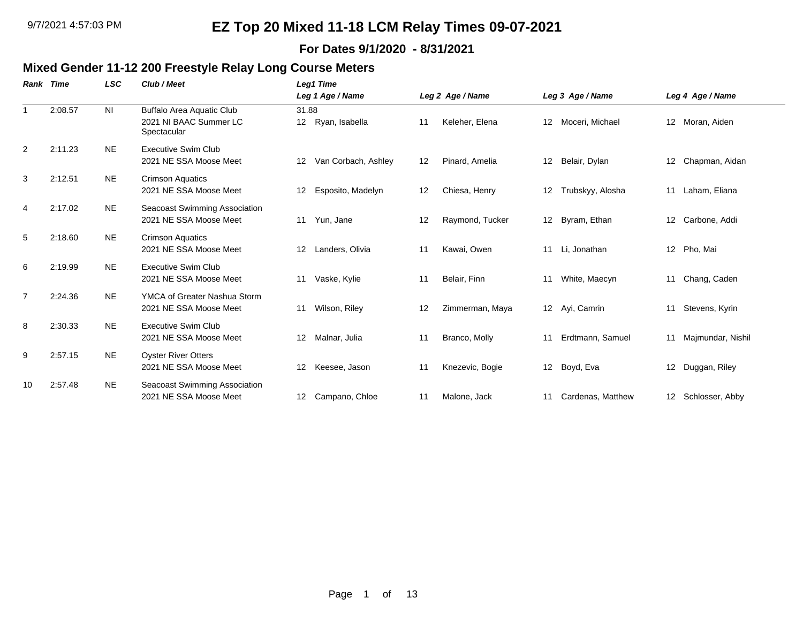#### **For Dates 9/1/2020 - 8/31/2021**

### **Mixed Gender 11-12 200 Freestyle Relay Long Course Meters**

| Rank           | Time    | <b>LSC</b>     | Club / Meet                                                               | Leg1 Time                              |    |                  |                 |                   |                 |                    |
|----------------|---------|----------------|---------------------------------------------------------------------------|----------------------------------------|----|------------------|-----------------|-------------------|-----------------|--------------------|
|                |         |                |                                                                           | Leg 1 Age / Name                       |    | Leg 2 Age / Name |                 | Leg 3 Age / Name  |                 | Leg 4 Age / Name   |
| $\overline{1}$ | 2:08.57 | N <sub>l</sub> | <b>Buffalo Area Aquatic Club</b><br>2021 NI BAAC Summer LC<br>Spectacular | 31.88<br>12 Ryan, Isabella             | 11 | Keleher, Elena   | 12 <sup>°</sup> | Moceri, Michael   |                 | 12 Moran, Aiden    |
| 2              | 2:11.23 | <b>NE</b>      | <b>Executive Swim Club</b><br>2021 NE SSA Moose Meet                      | Van Corbach, Ashley<br>12              | 12 | Pinard, Amelia   | 12              | Belair, Dylan     | 12 <sup>2</sup> | Chapman, Aidan     |
| 3              | 2:12.51 | NE.            | <b>Crimson Aquatics</b><br>2021 NE SSA Moose Meet                         | Esposito, Madelyn<br>$12 \overline{ }$ | 12 | Chiesa, Henry    | 12              | Trubskyy, Alosha  | 11              | Laham, Eliana      |
| $\overline{4}$ | 2:17.02 | <b>NE</b>      | Seacoast Swimming Association<br>2021 NE SSA Moose Meet                   | Yun, Jane<br>11                        | 12 | Raymond, Tucker  | 12              | Byram, Ethan      | 12              | Carbone, Addi      |
| 5              | 2:18.60 | <b>NE</b>      | <b>Crimson Aquatics</b><br>2021 NE SSA Moose Meet                         | Landers, Olivia<br>12                  | 11 | Kawai, Owen      | 11              | Li, Jonathan      | 12 <sup>2</sup> | Pho, Mai           |
| 6              | 2:19.99 | <b>NE</b>      | Executive Swim Club<br>2021 NE SSA Moose Meet                             | Vaske, Kylie<br>11                     | 11 | Belair, Finn     | 11              | White, Maecyn     | 11              | Chang, Caden       |
| $\overline{7}$ | 2:24.36 | <b>NE</b>      | YMCA of Greater Nashua Storm<br>2021 NE SSA Moose Meet                    | Wilson, Riley<br>11                    | 12 | Zimmerman, Maya  |                 | 12 Ayi, Camrin    | 11              | Stevens, Kyrin     |
| 8              | 2:30.33 | <b>NE</b>      | Executive Swim Club<br>2021 NE SSA Moose Meet                             | Malnar, Julia<br>12 <sup>2</sup>       | 11 | Branco, Molly    | 11              | Erdtmann, Samuel  | 11              | Majmundar, Nishil  |
| 9              | 2:57.15 | <b>NE</b>      | <b>Oyster River Otters</b><br>2021 NE SSA Moose Meet                      | Keesee, Jason<br>$12 \overline{ }$     | 11 | Knezevic, Bogie  | 12 <sup>°</sup> | Boyd, Eva         | 12 <sup>°</sup> | Duggan, Riley      |
| 10             | 2:57.48 | NE.            | Seacoast Swimming Association<br>2021 NE SSA Moose Meet                   | Campano, Chloe<br>12                   | 11 | Malone, Jack     | 11              | Cardenas, Matthew |                 | 12 Schlosser, Abby |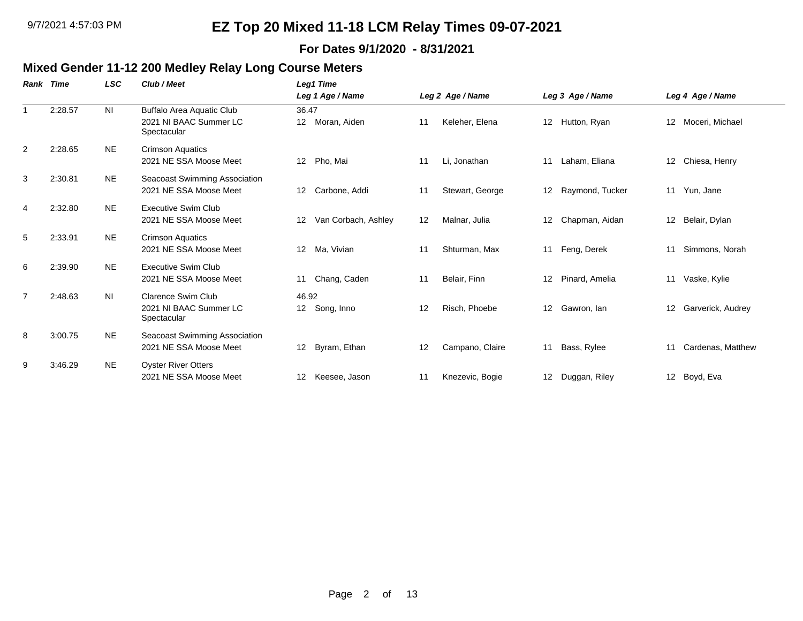#### **For Dates 9/1/2020 - 8/31/2021**

# **Mixed Gender 11-12 200 Medley Relay Long Course Meters**

| Rank           | Time    | <b>LSC</b>     | Club / Meet                                                        | Leg1 Time                               |    |                  |                  |                  |    |                   |
|----------------|---------|----------------|--------------------------------------------------------------------|-----------------------------------------|----|------------------|------------------|------------------|----|-------------------|
|                |         |                |                                                                    | Leg 1 Age / Name                        |    | Leg 2 Age / Name |                  | Leg 3 Age / Name |    | Leg 4 Age / Name  |
|                | 2:28.57 | N <sub>l</sub> | Buffalo Area Aquatic Club<br>2021 NI BAAC Summer LC<br>Spectacular | 36.47<br>Moran, Aiden<br>12             | 11 | Keleher, Elena   | 12 <sup>12</sup> | Hutton, Ryan     | 12 | Moceri, Michael   |
| $\overline{2}$ | 2:28.65 | <b>NE</b>      | <b>Crimson Aquatics</b><br>2021 NE SSA Moose Meet                  | Pho, Mai<br>12                          | 11 | Li, Jonathan     | 11               | Laham, Eliana    |    | 12 Chiesa, Henry  |
| 3              | 2:30.81 | <b>NE</b>      | Seacoast Swimming Association<br>2021 NE SSA Moose Meet            | 12<br>Carbone, Addi                     | 11 | Stewart, George  | 12 <sup>12</sup> | Raymond, Tucker  | 11 | Yun, Jane         |
| 4              | 2:32.80 | <b>NE</b>      | Executive Swim Club<br>2021 NE SSA Moose Meet                      | Van Corbach, Ashley<br>12               | 12 | Malnar, Julia    | 12               | Chapman, Aidan   |    | 12 Belair, Dylan  |
| 5              | 2:33.91 | <b>NE</b>      | <b>Crimson Aquatics</b><br>2021 NE SSA Moose Meet                  | Ma, Vivian<br>$12 \overline{ }$         | 11 | Shturman, Max    | 11               | Feng, Derek      | 11 | Simmons, Norah    |
| 6              | 2:39.90 | <b>NE</b>      | Executive Swim Club<br>2021 NE SSA Moose Meet                      | Chang, Caden<br>11                      | 11 | Belair, Finn     | 12 <sup>2</sup>  | Pinard, Amelia   | 11 | Vaske, Kylie      |
| $\overline{7}$ | 2:48.63 | N <sub>l</sub> | Clarence Swim Club<br>2021 NI BAAC Summer LC<br>Spectacular        | 46.92<br>12 <sup>12</sup><br>Song, Inno | 12 | Risch, Phoebe    | 12 <sup>2</sup>  | Gawron, Ian      | 12 | Garverick, Audrey |
| 8              | 3:00.75 | <b>NE</b>      | Seacoast Swimming Association<br>2021 NE SSA Moose Meet            | Byram, Ethan<br>12                      | 12 | Campano, Claire  | 11               | Bass, Rylee      | 11 | Cardenas, Matthew |
| 9              | 3:46.29 | <b>NE</b>      | <b>Oyster River Otters</b><br>2021 NE SSA Moose Meet               | $12 \overline{ }$<br>Keesee, Jason      | 11 | Knezevic, Bogie  | 12 <sup>12</sup> | Duggan, Riley    |    | 12 Boyd, Eva      |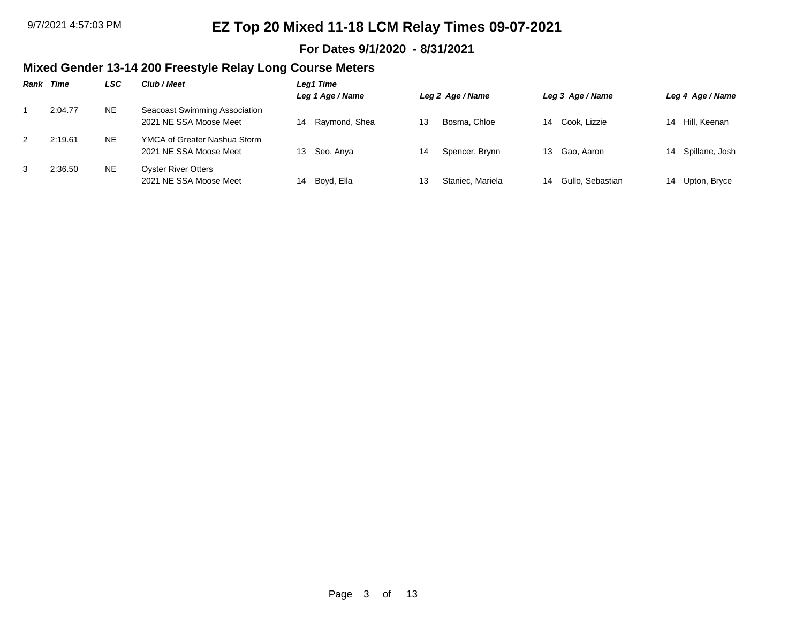#### **For Dates 9/1/2020 - 8/31/2021**

### **Mixed Gender 13-14 200 Freestyle Relay Long Course Meters**

|   | <b>Rank Time</b> | LSC       | Club / Meet                                             | Leg1 Time           |    |                  |    |                  |                   |
|---|------------------|-----------|---------------------------------------------------------|---------------------|----|------------------|----|------------------|-------------------|
|   |                  |           |                                                         | Leg 1 Age / Name    |    | Leg 2 Age / Name |    | Leg 3 Age / Name | Leg 4 Age / Name  |
|   | 2:04.77          | NE.       | Seacoast Swimming Association<br>2021 NE SSA Moose Meet | Raymond, Shea<br>14 |    | Bosma, Chloe     |    | 14 Cook, Lizzie  | 14 Hill, Keenan   |
| 2 | 2:19.61          | <b>NE</b> | YMCA of Greater Nashua Storm<br>2021 NE SSA Moose Meet  | Seo, Anya<br>13     | 14 | Spencer, Brynn   |    | 13 Gao, Aaron    | 14 Spillane, Josh |
| 3 | 2:36.50          | <b>NE</b> | <b>Oyster River Otters</b><br>2021 NE SSA Moose Meet    | Boyd, Ella<br>14    | 13 | Staniec, Mariela | 14 | Gullo, Sebastian | 14 Upton, Bryce   |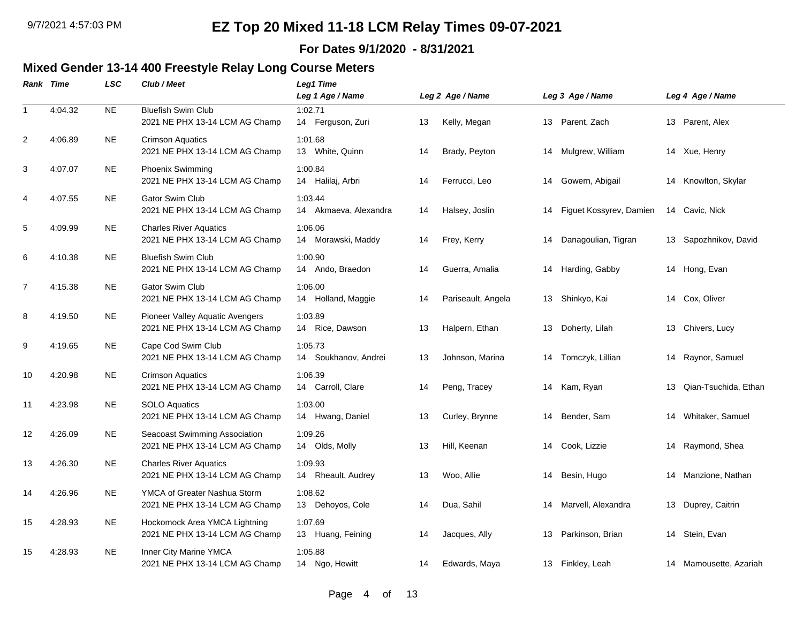#### **For Dates 9/1/2020 - 8/31/2021**

### **Mixed Gender 13-14 400 Freestyle Relay Long Course Meters**

|                | <b>Rank Time</b> | <b>LSC</b> | Club / Meet                                                              | Leg1 Time<br>Leg 1 Age / Name    |    | Leg 2 Age / Name   |    | Leg 3 Age / Name        |    | Leg 4 Age / Name       |
|----------------|------------------|------------|--------------------------------------------------------------------------|----------------------------------|----|--------------------|----|-------------------------|----|------------------------|
| $\mathbf{1}$   | 4:04.32          | <b>NE</b>  | <b>Bluefish Swim Club</b><br>2021 NE PHX 13-14 LCM AG Champ              | 1:02.71<br>14 Ferguson, Zuri     | 13 | Kelly, Megan       | 13 | Parent, Zach            |    | 13 Parent, Alex        |
| 2              | 4:06.89          | <b>NE</b>  | <b>Crimson Aquatics</b><br>2021 NE PHX 13-14 LCM AG Champ                | 1:01.68<br>13 White, Quinn       | 14 | Brady, Peyton      | 14 | Mulgrew, William        |    | 14 Xue, Henry          |
| 3              | 4:07.07          | <b>NE</b>  | Phoenix Swimming<br>2021 NE PHX 13-14 LCM AG Champ                       | 1:00.84<br>14 Halilaj, Arbri     | 14 | Ferrucci, Leo      | 14 | Gowern, Abigail         |    | 14 Knowlton, Skylar    |
| 4              | 4:07.55          | <b>NE</b>  | Gator Swim Club<br>2021 NE PHX 13-14 LCM AG Champ                        | 1:03.44<br>14 Akmaeva, Alexandra | 14 | Halsey, Joslin     | 14 | Figuet Kossyrev, Damien |    | 14 Cavic, Nick         |
| 5              | 4:09.99          | <b>NE</b>  | <b>Charles River Aquatics</b><br>2021 NE PHX 13-14 LCM AG Champ          | 1:06.06<br>14 Morawski, Maddy    | 14 | Frey, Kerry        | 14 | Danagoulian, Tigran     |    | 13 Sapozhnikov, David  |
| 6              | 4:10.38          | <b>NE</b>  | <b>Bluefish Swim Club</b><br>2021 NE PHX 13-14 LCM AG Champ              | 1:00.90<br>14 Ando, Braedon      | 14 | Guerra, Amalia     | 14 | Harding, Gabby          |    | 14 Hong, Evan          |
| $\overline{7}$ | 4:15.38          | <b>NE</b>  | <b>Gator Swim Club</b><br>2021 NE PHX 13-14 LCM AG Champ                 | 1:06.00<br>14 Holland, Maggie    | 14 | Pariseault, Angela |    | 13 Shinkyo, Kai         |    | 14 Cox, Oliver         |
| 8              | 4:19.50          | <b>NE</b>  | <b>Pioneer Valley Aquatic Avengers</b><br>2021 NE PHX 13-14 LCM AG Champ | 1:03.89<br>14 Rice, Dawson       | 13 | Halpern, Ethan     | 13 | Doherty, Lilah          | 13 | Chivers, Lucy          |
| 9              | 4:19.65          | <b>NE</b>  | Cape Cod Swim Club<br>2021 NE PHX 13-14 LCM AG Champ                     | 1:05.73<br>14 Soukhanov, Andrei  | 13 | Johnson, Marina    | 14 | Tomczyk, Lillian        | 14 | Raynor, Samuel         |
| 10             | 4:20.98          | <b>NE</b>  | <b>Crimson Aquatics</b><br>2021 NE PHX 13-14 LCM AG Champ                | 1:06.39<br>14 Carroll, Clare     | 14 | Peng, Tracey       | 14 | Kam, Ryan               | 13 | Qian-Tsuchida, Ethan   |
| 11             | 4:23.98          | <b>NE</b>  | <b>SOLO Aquatics</b><br>2021 NE PHX 13-14 LCM AG Champ                   | 1:03.00<br>14 Hwang, Daniel      | 13 | Curley, Brynne     | 14 | Bender, Sam             | 14 | Whitaker, Samuel       |
| 12             | 4:26.09          | <b>NE</b>  | Seacoast Swimming Association<br>2021 NE PHX 13-14 LCM AG Champ          | 1:09.26<br>14 Olds, Molly        | 13 | Hill, Keenan       | 14 | Cook, Lizzie            |    | 14 Raymond, Shea       |
| 13             | 4:26.30          | <b>NE</b>  | <b>Charles River Aquatics</b><br>2021 NE PHX 13-14 LCM AG Champ          | 1:09.93<br>14 Rheault, Audrey    | 13 | Woo, Allie         | 14 | Besin, Hugo             | 14 | Manzione, Nathan       |
| 14             | 4:26.96          | <b>NE</b>  | YMCA of Greater Nashua Storm<br>2021 NE PHX 13-14 LCM AG Champ           | 1:08.62<br>13 Dehoyos, Cole      | 14 | Dua, Sahil         | 14 | Marvell, Alexandra      |    | 13 Duprey, Caitrin     |
| 15             | 4:28.93          | <b>NE</b>  | Hockomock Area YMCA Lightning<br>2021 NE PHX 13-14 LCM AG Champ          | 1:07.69<br>13 Huang, Feining     | 14 | Jacques, Ally      | 13 | Parkinson, Brian        | 14 | Stein, Evan            |
| 15             | 4:28.93          | <b>NE</b>  | Inner City Marine YMCA<br>2021 NE PHX 13-14 LCM AG Champ                 | 1:05.88<br>14 Ngo, Hewitt        | 14 | Edwards, Maya      |    | 13 Finkley, Leah        |    | 14 Mamousette, Azariah |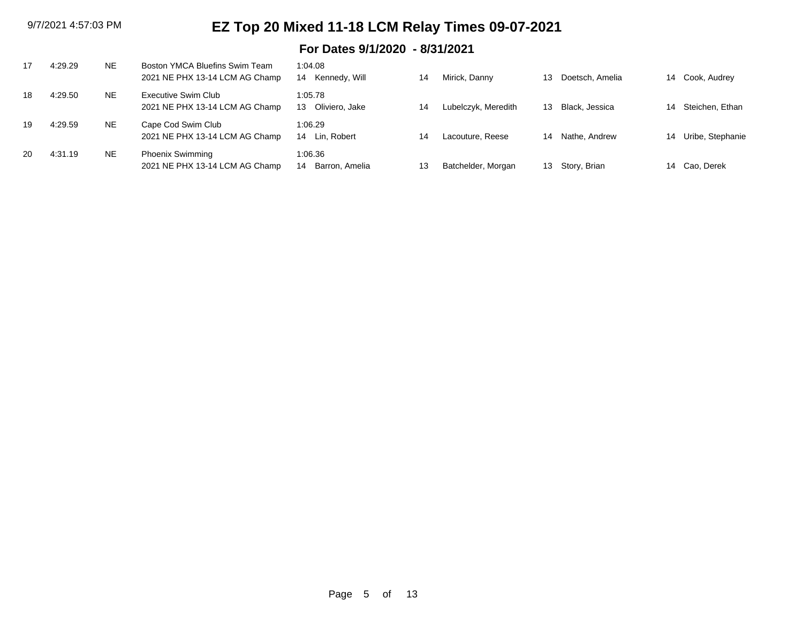### **For Dates 9/1/2020 - 8/31/2021**

| 17 | 4:29.29 | NE | Boston YMCA Bluefins Swim Team<br>2021 NE PHX 13-14 LCM AG Champ | 1:04.08<br>14 Kennedy, Will     | 14 | Mirick, Danny       | 13 | Doetsch, Amelia |    | 14 Cook, Audrey     |
|----|---------|----|------------------------------------------------------------------|---------------------------------|----|---------------------|----|-----------------|----|---------------------|
| 18 | 4:29.50 | NE | Executive Swim Club<br>2021 NE PHX 13-14 LCM AG Champ            | 1:05.78<br>Oliviero, Jake<br>13 | 14 | Lubelczyk, Meredith | 13 | Black, Jessica  | 14 | Steichen. Ethan     |
| 19 | 4:29.59 | NE | Cape Cod Swim Club<br>2021 NE PHX 13-14 LCM AG Champ             | 1:06.29<br>14 Lin, Robert       | 14 | Lacouture, Reese    | 14 | Nathe, Andrew   |    | 14 Uribe, Stephanie |
| 20 | 4:31.19 | NE | <b>Phoenix Swimming</b><br>2021 NE PHX 13-14 LCM AG Champ        | 1:06.36<br>Barron, Amelia<br>14 | 13 | Batchelder, Morgan  | 13 | Story, Brian    |    | 14 Cao. Derek       |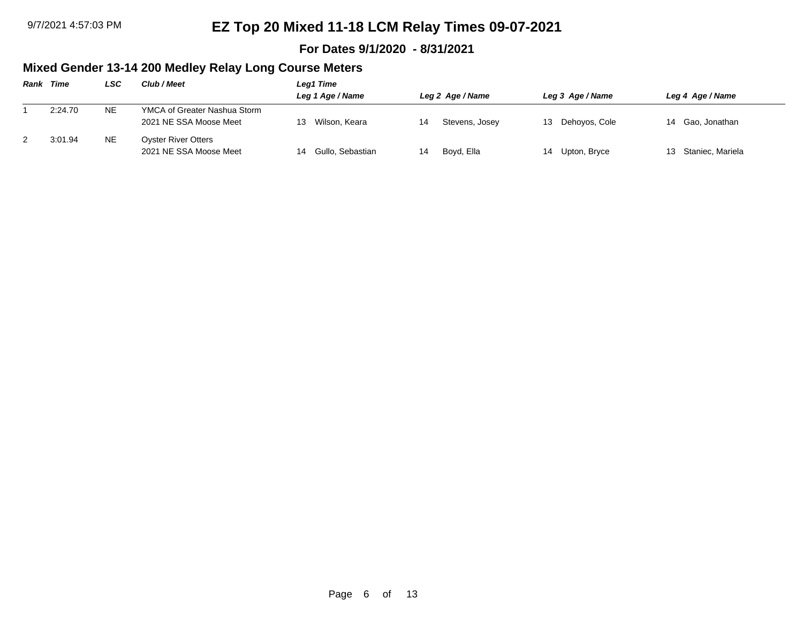#### **For Dates 9/1/2020 - 8/31/2021**

### **Mixed Gender 13-14 200 Medley Relay Long Course Meters**

| Rank | Time    | LSC       | Club / Meet                                            | Leg1 Time<br>Leg 1 Age / Name |    | Leg 2 Age / Name | Leg 3 Age / Name | Leg 4 Age / Name    |
|------|---------|-----------|--------------------------------------------------------|-------------------------------|----|------------------|------------------|---------------------|
|      | 2:24.70 | <b>NE</b> | YMCA of Greater Nashua Storm<br>2021 NE SSA Moose Meet | Wilson, Keara                 |    | Stevens, Josey   | 13 Dehoyos, Cole | 14 Gao, Jonathan    |
|      | 3:01.94 | <b>NE</b> | <b>Oyster River Otters</b><br>2021 NE SSA Moose Meet   | 14 Gullo, Sebastian           | 14 | Boyd, Ella       | 14 Upton, Bryce  | 13 Staniec, Mariela |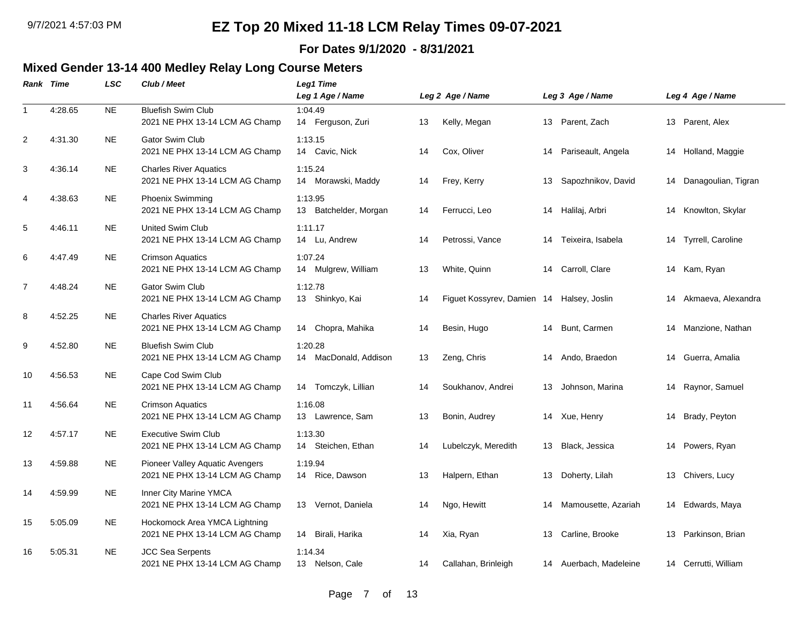#### **For Dates 9/1/2020 - 8/31/2021**

### **Mixed Gender 13-14 400 Medley Relay Long Course Meters**

|              | <b>Rank Time</b> | <b>LSC</b> | Club / Meet                                                              | Leg1 Time<br>Leg 1 Age / Name     |    | Leg 2 Age / Name                          |    | Leg 3 Age / Name       |    | Leg 4 Age / Name       |
|--------------|------------------|------------|--------------------------------------------------------------------------|-----------------------------------|----|-------------------------------------------|----|------------------------|----|------------------------|
| $\mathbf{1}$ | 4:28.65          | <b>NE</b>  | <b>Bluefish Swim Club</b><br>2021 NE PHX 13-14 LCM AG Champ              | 1:04.49<br>14 Ferguson, Zuri      | 13 | Kelly, Megan                              |    | 13 Parent, Zach        |    | 13 Parent, Alex        |
| 2            | 4:31.30          | <b>NE</b>  | <b>Gator Swim Club</b><br>2021 NE PHX 13-14 LCM AG Champ                 | 1:13.15<br>Cavic, Nick<br>14      | 14 | Cox, Oliver                               | 14 | Pariseault, Angela     | 14 | Holland, Maggie        |
| 3            | 4:36.14          | <b>NE</b>  | <b>Charles River Aquatics</b><br>2021 NE PHX 13-14 LCM AG Champ          | 1:15.24<br>14 Morawski, Maddy     | 14 | Frey, Kerry                               | 13 | Sapozhnikov, David     |    | 14 Danagoulian, Tigran |
| 4            | 4:38.63          | NE         | <b>Phoenix Swimming</b><br>2021 NE PHX 13-14 LCM AG Champ                | 1:13.95<br>13 Batchelder, Morgan  | 14 | Ferrucci, Leo                             | 14 | Halilaj, Arbri         | 14 | Knowlton, Skylar       |
| 5            | 4:46.11          | <b>NE</b>  | <b>United Swim Club</b><br>2021 NE PHX 13-14 LCM AG Champ                | 1:11.17<br>14 Lu, Andrew          | 14 | Petrossi, Vance                           | 14 | Teixeira, Isabela      | 14 | Tyrrell, Caroline      |
| 6            | 4:47.49          | NE.        | <b>Crimson Aquatics</b><br>2021 NE PHX 13-14 LCM AG Champ                | 1:07.24<br>Mulgrew, William<br>14 | 13 | White, Quinn                              | 14 | Carroll, Clare         | 14 | Kam, Ryan              |
| 7            | 4:48.24          | <b>NE</b>  | <b>Gator Swim Club</b><br>2021 NE PHX 13-14 LCM AG Champ                 | 1:12.78<br>13 Shinkyo, Kai        | 14 | Figuet Kossyrev, Damien 14 Halsey, Joslin |    |                        | 14 | Akmaeva, Alexandra     |
| 8            | 4:52.25          | <b>NE</b>  | <b>Charles River Aquatics</b><br>2021 NE PHX 13-14 LCM AG Champ          | 14 Chopra, Mahika                 | 14 | Besin, Hugo                               | 14 | Bunt, Carmen           | 14 | Manzione, Nathan       |
| 9            | 4:52.80          | <b>NE</b>  | <b>Bluefish Swim Club</b><br>2021 NE PHX 13-14 LCM AG Champ              | 1:20.28<br>14 MacDonald, Addison  | 13 | Zeng, Chris                               | 14 | Ando, Braedon          | 14 | Guerra, Amalia         |
| 10           | 4:56.53          | <b>NE</b>  | Cape Cod Swim Club<br>2021 NE PHX 13-14 LCM AG Champ                     | 14 Tomczyk, Lillian               | 14 | Soukhanov, Andrei                         | 13 | Johnson, Marina        | 14 | Raynor, Samuel         |
| 11           | 4:56.64          | <b>NE</b>  | <b>Crimson Aquatics</b><br>2021 NE PHX 13-14 LCM AG Champ                | 1:16.08<br>13 Lawrence, Sam       | 13 | Bonin, Audrey                             |    | 14 Xue, Henry          |    | 14 Brady, Peyton       |
| 12           | 4:57.17          | <b>NE</b>  | <b>Executive Swim Club</b><br>2021 NE PHX 13-14 LCM AG Champ             | 1:13.30<br>14 Steichen, Ethan     | 14 | Lubelczyk, Meredith                       | 13 | Black, Jessica         | 14 | Powers, Ryan           |
| 13           | 4:59.88          | <b>NE</b>  | <b>Pioneer Valley Aquatic Avengers</b><br>2021 NE PHX 13-14 LCM AG Champ | 1:19.94<br>Rice, Dawson<br>14     | 13 | Halpern, Ethan                            | 13 | Doherty, Lilah         | 13 | Chivers, Lucy          |
| 14           | 4:59.99          | <b>NE</b>  | Inner City Marine YMCA<br>2021 NE PHX 13-14 LCM AG Champ                 | 13 Vernot, Daniela                | 14 | Ngo, Hewitt                               | 14 | Mamousette, Azariah    |    | 14 Edwards, Maya       |
| 15           | 5:05.09          | <b>NE</b>  | Hockomock Area YMCA Lightning<br>2021 NE PHX 13-14 LCM AG Champ          | Birali, Harika<br>14              | 14 | Xia, Ryan                                 | 13 | Carline, Brooke        | 13 | Parkinson, Brian       |
| 16           | 5:05.31          | <b>NE</b>  | <b>JCC Sea Serpents</b><br>2021 NE PHX 13-14 LCM AG Champ                | 1:14.34<br>13 Nelson, Cale        | 14 | Callahan, Brinleigh                       |    | 14 Auerbach, Madeleine |    | 14 Cerrutti, William   |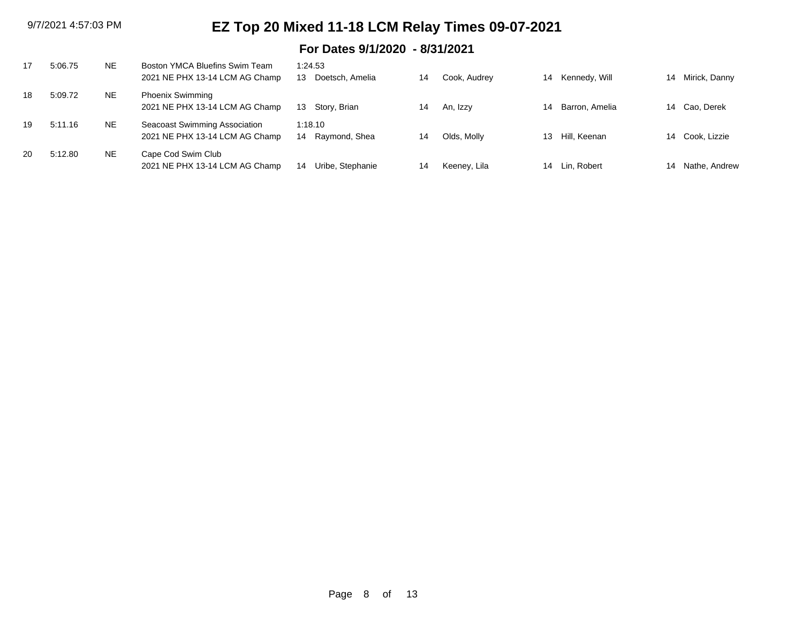### **For Dates 9/1/2020 - 8/31/2021**

|    | 5:06.75 | <b>NE</b> | Boston YMCA Bluefins Swim Team<br>2021 NE PHX 13-14 LCM AG Champ | 1:24.53<br>Doetsch, Amelia<br>13 | 14 | Cook, Audrey | 14 | Kennedy, Will  | 14 | Mirick, Danny |
|----|---------|-----------|------------------------------------------------------------------|----------------------------------|----|--------------|----|----------------|----|---------------|
| 18 | 5:09.72 | <b>NE</b> | <b>Phoenix Swimming</b><br>2021 NE PHX 13-14 LCM AG Champ        | Story, Brian<br>13               | 14 | An, Izzy     | 14 | Barron, Amelia | 14 | Cao, Derek    |
| 19 | 5:11.16 | <b>NE</b> | Seacoast Swimming Association<br>2021 NE PHX 13-14 LCM AG Champ  | 1:18.10<br>Raymond, Shea<br>14   | 14 | Olds, Molly  | 13 | Hill. Keenan   | 14 | Cook, Lizzie  |
| 20 | 5:12.80 | <b>NE</b> | Cape Cod Swim Club<br>2021 NE PHX 13-14 LCM AG Champ             | Uribe, Stephanie<br>14           | 14 | Keeney, Lila | 14 | Lin, Robert    | 14 | Nathe, Andrew |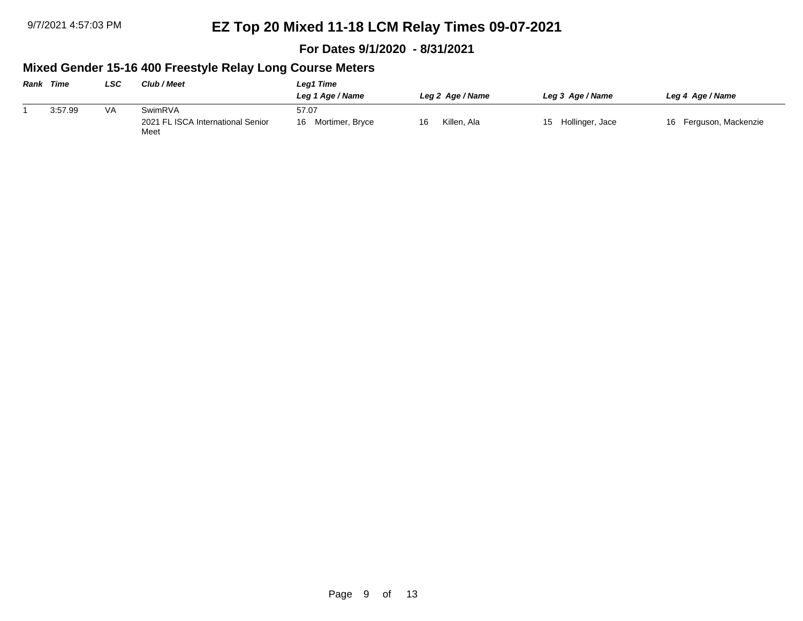**For Dates 9/1/2020 - 8/31/2021**

### **Mixed Gender 15-16 400 Freestyle Relay Long Course Meters**

| <b>Rank Time</b> |         | LSC | Club / Meet                               | Leg1 Time             |                   |                    |                        |  |  |  |  |
|------------------|---------|-----|-------------------------------------------|-----------------------|-------------------|--------------------|------------------------|--|--|--|--|
|                  |         |     |                                           | Leg 1 Age / Name      | Leg 2 Age / Name  | Leg 3 Age / Name   | Leg 4 Age / Name       |  |  |  |  |
|                  | 3:57.99 | VA  | SwimRVA                                   | 57.07                 |                   |                    |                        |  |  |  |  |
|                  |         |     | 2021 FL ISCA International Senior<br>Meet | Mortimer, Bryce<br>16 | Killen, Ala<br>16 | 15 Hollinger, Jace | 16 Ferguson, Mackenzie |  |  |  |  |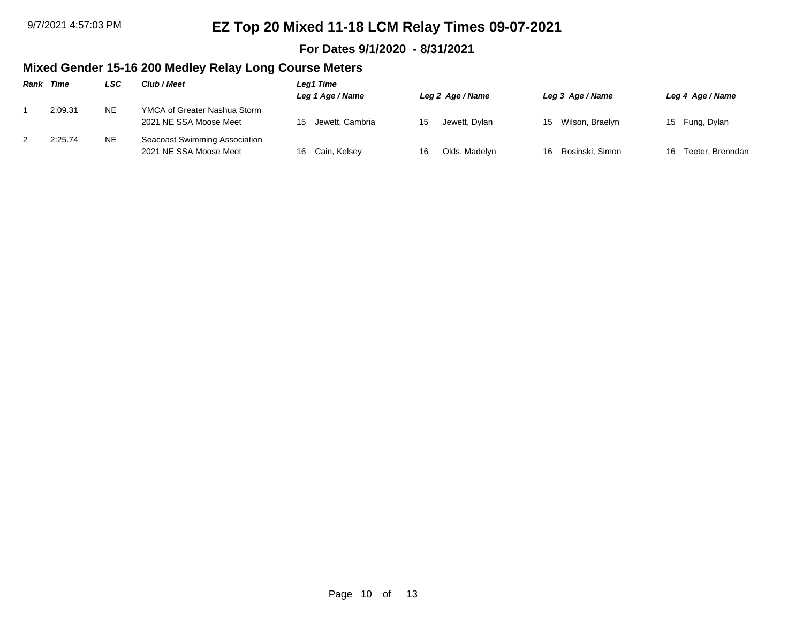#### **For Dates 9/1/2020 - 8/31/2021**

### **Mixed Gender 15-16 200 Medley Relay Long Course Meters**

| Rank | Time    | LSC       | Club / Meet                                             | Leg1 Time        |    |                  |                    |                     |
|------|---------|-----------|---------------------------------------------------------|------------------|----|------------------|--------------------|---------------------|
|      |         |           |                                                         | Leg 1 Age / Name |    | Leg 2 Age / Name | Leg 3 Age / Name   | Leg 4 Age / Name    |
|      | 2:09.31 | <b>NE</b> | YMCA of Greater Nashua Storm<br>2021 NE SSA Moose Meet  | Jewett, Cambria  |    | Jewett, Dylan    | 15 Wilson, Braelyn | 15 Fung, Dylan      |
|      | 2:25.74 | <b>NE</b> | Seacoast Swimming Association<br>2021 NE SSA Moose Meet | 16 Cain, Kelsey  | 16 | Olds, Madelyn    | 16 Rosinski, Simon | 16 Teeter, Brenndan |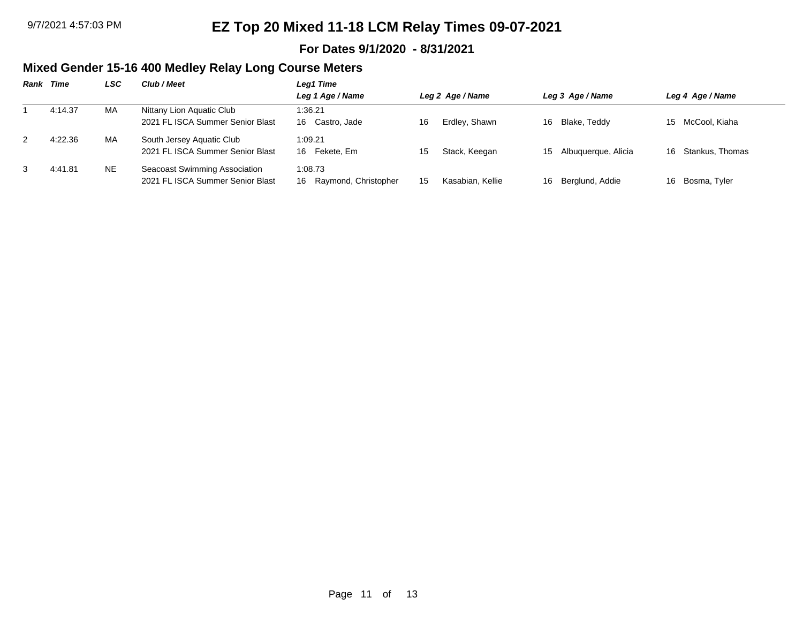#### **For Dates 9/1/2020 - 8/31/2021**

### **Mixed Gender 15-16 400 Medley Relay Long Course Meters**

| <b>Rank Time</b> | LSC | Club / Meet                      | Leg1 Time               |    |                  |    |                     |    |                  |
|------------------|-----|----------------------------------|-------------------------|----|------------------|----|---------------------|----|------------------|
|                  |     |                                  | Leg 1 Age / Name        |    | Leg 2 Age / Name |    | Leg 3 Age / Name    |    | Leg 4 Age / Name |
| 4:14.37          | MA  | Nittany Lion Aquatic Club        | 1:36.21                 |    |                  |    |                     |    |                  |
|                  |     | 2021 FL ISCA Summer Senior Blast | 16 Castro, Jade         | 16 | Erdley, Shawn    | 16 | Blake, Teddy        |    | 15 McCool, Kiaha |
| 4:22.36          | MA  | South Jersey Aquatic Club        | 1:09.21                 |    |                  |    |                     |    |                  |
|                  |     | 2021 FL ISCA Summer Senior Blast | Fekete. Em<br>16        | 15 | Stack, Keegan    | 15 | Albuquerque, Alicia | 16 | Stankus, Thomas  |
| 4:41.81          | NE. | Seacoast Swimming Association    | 1:08.73                 |    |                  |    |                     |    |                  |
|                  |     | 2021 FL ISCA Summer Senior Blast | 16 Raymond, Christopher | 15 | Kasabian, Kellie | 16 | Berglund, Addie     | 16 | Bosma, Tyler     |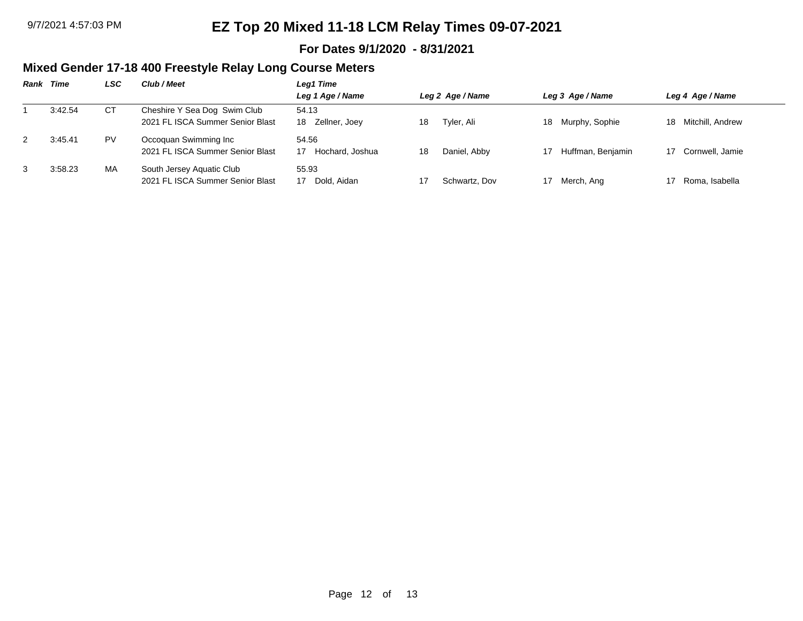#### **For Dates 9/1/2020 - 8/31/2021**

### **Mixed Gender 17-18 400 Freestyle Relay Long Course Meters**

| Rank | Time    | LSC | Club / Meet                                                      | Leg1 Time                    |                    |                      |                        |
|------|---------|-----|------------------------------------------------------------------|------------------------------|--------------------|----------------------|------------------------|
|      |         |     |                                                                  | Leg 1 Age / Name             | Leg 2 Age / Name   | Leg 3 Age / Name     | Leg 4 Age / Name       |
|      | 3:42.54 | CТ  | Cheshire Y Sea Dog Swim Club<br>2021 FL ISCA Summer Senior Blast | 54.13<br>Zellner, Joey<br>18 | Tyler, Ali<br>18   | Murphy, Sophie<br>18 | Mitchill, Andrew<br>18 |
| 2    | 3:45.41 | PV. | Occoquan Swimming Inc<br>2021 FL ISCA Summer Senior Blast        | 54.56<br>Hochard, Joshua     | Daniel, Abby<br>18 | Huffman, Benjamin    | 17 Cornwell, Jamie     |
| 3    | 3:58.23 | MA  | South Jersey Aquatic Club<br>2021 FL ISCA Summer Senior Blast    | 55.93<br>Dold, Aidan         | Schwartz, Dov      | Merch, Ang           | Roma, Isabella         |